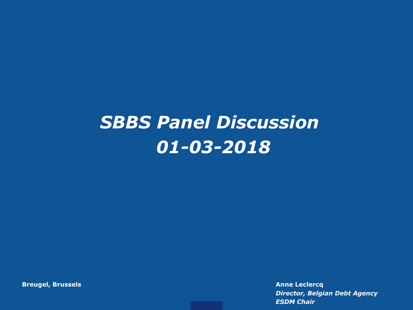# *SBBS Panel Discussion 01-03-2018*

**Breugel, Brussels Anne Leclercq**

*Director, Belgian Debt Agency ESDM Chair*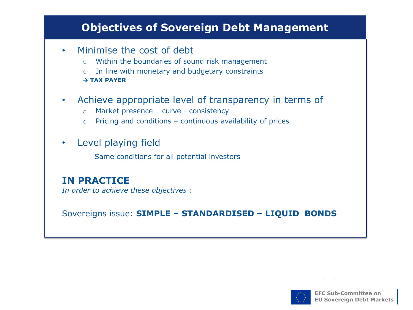## **Objectives of Sovereign Debt Management**

- Minimise the cost of debt
	- o Within the boundaries of sound risk management
	- In line with monetary and budgetary constraints

#### **TAX PAYER**

- Achieve appropriate level of transparency in terms of
	- o Market presence curve consistency
	- o Pricing and conditions continuous availability of prices
- Level playing field

Same conditions for all potential investors

## **IN PRACTICE**

*In order to achieve these objectives :*

Sovereigns issue: **SIMPLE – STANDARDISED – LIQUID BONDS** 

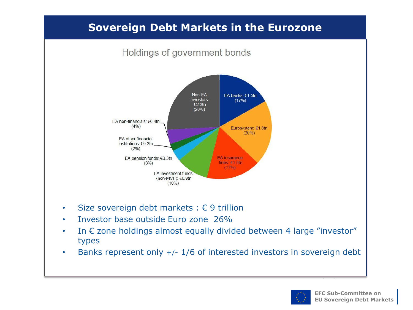## **Sovereign Debt Markets in the Eurozone**



- Size sovereign debt markets :  $\epsilon$  9 trillion
- Investor base outside Euro zone 26%
- In  $\epsilon$  zone holdings almost equally divided between 4 large "investor" types
- Banks represent only +/- 1/6 of interested investors in sovereign debt

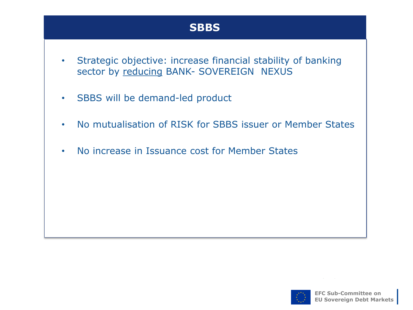## **SBBS**

- Strategic objective: increase financial stability of banking sector by reducing BANK- SOVEREIGN NEXUS
- SBBS will be demand-led product
- No mutualisation of RISK for SBBS issuer or Member States
- No increase in Issuance cost for Member States

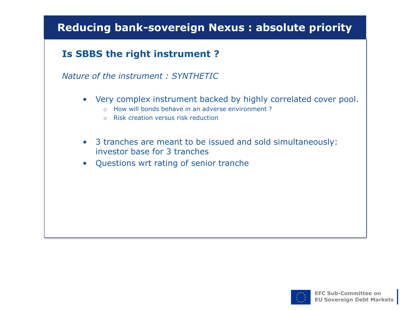# **Reducing bank-sovereign Nexus : absolute priority**

## **Is SBBS the right instrument ?**

#### *Nature of the instrument : SYNTHETIC*

- Very complex instrument backed by highly correlated cover pool.
	- o How will bonds behave in an adverse environment ?
	- o Risk creation versus risk reduction
- 3 tranches are meant to be issued and sold simultaneously: investor base for 3 tranches
- Questions wrt rating of senior tranche

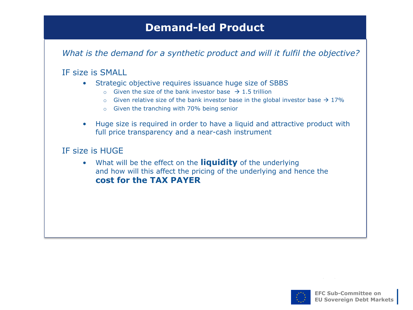## **Demand-led Product**

*What is the demand for a synthetic product and will it fulfil the objective?* 

#### IF size is SMALL

- Strategic objective requires issuance huge size of SBBS
	- o Given the size of the bank investor base  $\rightarrow$  1.5 trillion
	- $\circ$  Given relative size of the bank investor base in the global investor base  $\rightarrow$  17%
	- o Given the tranching with 70% being senior
- Huge size is required in order to have a liquid and attractive product with full price transparency and a near-cash instrument

#### IF size is HUGE

• What will be the effect on the **liquidity** of the underlying and how will this affect the pricing of the underlying and hence the **cost for the TAX PAYER** 

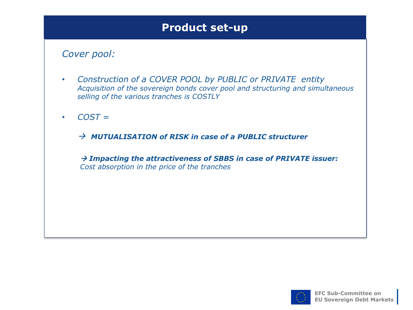## **Product set-up**

#### *Cover pool:*

- *Construction of a COVER POOL by PUBLIC or PRIVATE entity Acquisition of the sovereign bonds cover pool and structuring and simultaneous selling of the various tranches is COSTLY*
- *COST =*
	- *MUTUALISATION of RISK in case of a PUBLIC structurer*

 *Impacting the attractiveness of SBBS in case of PRIVATE issuer: Cost absorption in the price of the tranches* 

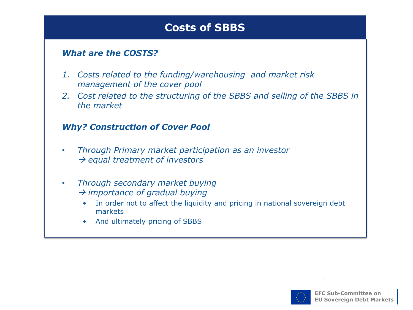## **Costs of SBBS**

#### *What are the COSTS?*

- *1. Costs related to the funding/warehousing and market risk management of the cover pool*
- *2. Cost related to the structuring of the SBBS and selling of the SBBS in the market*

#### *Why? Construction of Cover Pool*

- *Through Primary market participation as an investor equal treatment of investors*
- *Through secondary market buying importance of gradual buying*
	- In order not to affect the liquidity and pricing in national sovereign debt markets
	- And ultimately pricing of SBBS